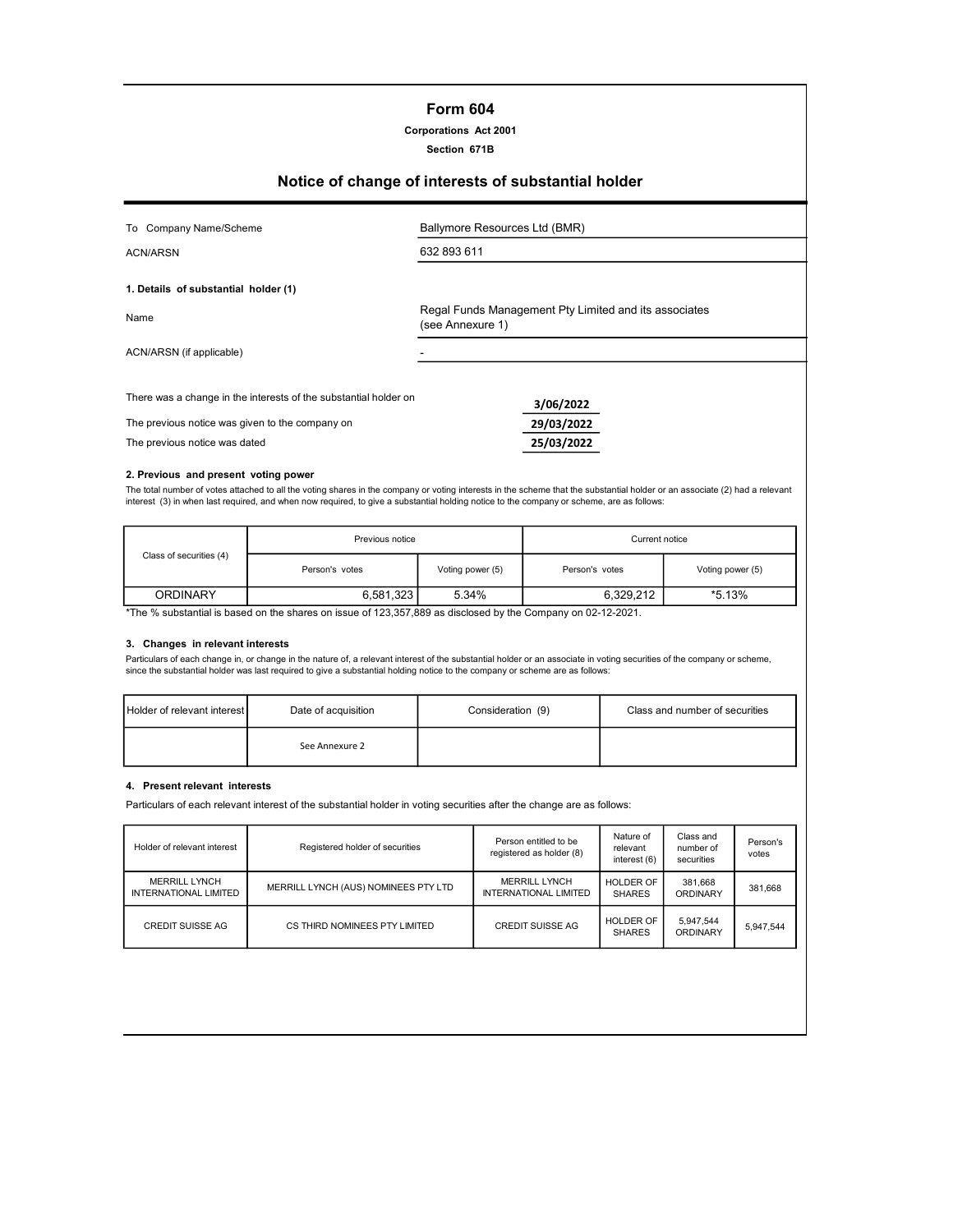# Form 604

Corporations Act 2001

Section 671B

# Notice of change of interests of substantial holder

| To Company Name/Scheme                                           | Ballymore Resources Ltd (BMR)                                             |
|------------------------------------------------------------------|---------------------------------------------------------------------------|
| ACN/ARSN                                                         | 632 893 611                                                               |
| 1. Details of substantial holder (1)                             |                                                                           |
| Name                                                             | Regal Funds Management Pty Limited and its associates<br>(see Annexure 1) |
| ACN/ARSN (if applicable)                                         |                                                                           |
| There was a change in the interests of the substantial holder on | 3/06/2022                                                                 |
| The previous notice was given to the company on                  | 29/03/2022                                                                |
| The previous notice was dated                                    | 25/03/2022                                                                |

#### 2. Previous and present voting power

The total number of votes attached to all the voting shares in the company or voting interests in the scheme that the substantial holder or an associate (2) had a relevant<br>interest (3) in when last required, and when now r

|                                                                                                             | Previous notice |                  | Current notice |                  |  |
|-------------------------------------------------------------------------------------------------------------|-----------------|------------------|----------------|------------------|--|
| Class of securities (4)                                                                                     | Person's votes  | Voting power (5) | Person's votes | Voting power (5) |  |
| <b>ORDINARY</b>                                                                                             | 6.581.323       | 5.34%            | 6.329.212      | *5.13%           |  |
| *The % substantial is hased on the shares on issue of 123,357,889 as disclosed by the Company on 02-12-2021 |                 |                  |                |                  |  |

 $3,357,889$  as disclosed by the Company o

#### 3. Changes in relevant interests

Particulars of each change in, or change in the nature of, a relevant interest of the substantial holder or an associate in voting securities of the company or scheme,<br>since the substantial holder was last required to give

| <b>Holder of relevant interest</b> | Date of acquisition | Consideration (9) | Class and number of securities |
|------------------------------------|---------------------|-------------------|--------------------------------|
|                                    | See Annexure 2      |                   |                                |

## 4. Present relevant interests

Particulars of each relevant interest of the substantial holder in voting securities after the change are as follows:

| Holder of relevant interest                          | Registered holder of securities      | Person entitled to be<br>registered as holder (8)    | Nature of<br>relevant<br>interest (6) | Class and<br>number of<br>securities | Person's<br>votes |
|------------------------------------------------------|--------------------------------------|------------------------------------------------------|---------------------------------------|--------------------------------------|-------------------|
| <b>MERRILL LYNCH</b><br><b>INTERNATIONAL LIMITED</b> | MERRILL LYNCH (AUS) NOMINEES PTY LTD | <b>MERRILL LYNCH</b><br><b>INTERNATIONAL LIMITED</b> | HOLDER OF<br><b>SHARES</b>            | 381,668<br>ORDINARY                  | 381.668           |
| CREDIT SUISSE AG                                     | CS THIRD NOMINEES PTY LIMITED        | <b>CREDIT SUISSE AG</b>                              | <b>HOLDER OF</b><br><b>SHARES</b>     | 5.947.544<br>ORDINARY                | 5.947.544         |